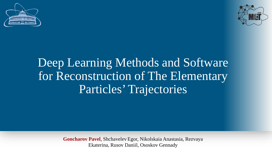



# Deep Learning Methods and Software for Reconstruction of The Elementary Particles' Trajectories

**Goncharov Pavel**, Shchavelev Egor, Nikolskaia Anastasia, Rezvaya Ekaterina, Rusov Daniil, Ososkov Gennady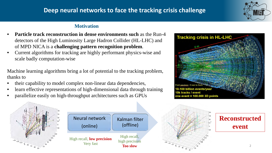# **Deep neural networks to face the tracking crisis challenge**



#### **Motivation**

- **Particle track reconstruction in dense environments such** as the Run-4 detectors of the High Luminosity Large Hadron Collider (HL-LHC) and of MPD NICA is a **challenging pattern recognition problem**.
- Current algorithms for tracking are highly performant physics-wise and scale badly computation-wise

Machine learning algorithms bring a lot of potential to the tracking problem, thanks to

- their capability to model complex non-linear data dependencies,
- learn effective representations of high-dimensional data through training
- parallelize easily on high-throughput architectures such as GPUs









# **Reconstructed event**

2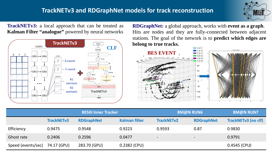# **TrackNETv3 and RDGraphNet models for track reconstruction**



**TrackNETv3:** a local approach that can be treated as **Kalman Filter "analogue"** powered by neural networks



**RDGraphNet:** a global approach, works with **event as a graph**. Hits are nodes and they are fully-connected between adjacent stations. The goal of the network is to **predict which edges are**



|                    | <b>BESIII Inner Tracker</b> |                   |                      | <b>BM@N RUN6</b>         |                          | <b>BM@N RUN7</b>           |
|--------------------|-----------------------------|-------------------|----------------------|--------------------------|--------------------------|----------------------------|
|                    | <b>TrackNETv3</b>           | <b>RDGraphNet</b> | <b>Kalman filter</b> | <b>TrackNETv2</b>        | <b>RDGraphNet</b>        | <b>TrackNETv3 (no clf)</b> |
| Efficiency         | 0.9475                      | 0.9548            | 0.9223               | 0.9593                   | 0.87                     | 0.9830                     |
| Ghost rate         | 0.2406                      | 0.2596            | 0.0477               | $\overline{\phantom{a}}$ | $\overline{\phantom{a}}$ | 0.9791                     |
| Speed (events/sec) | 74.17 (GPU)                 | 283.70 (GPU)      | 0.2382 (CPU)         |                          |                          | $0.4545$ (CPU)             |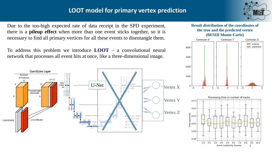# **LOOT model for primary vertex prediction**



Due to the too-high expected rate of data receipt in the SPD experiment, there is a **pileup effect** when more than one event sticks together, so it is necessary to find all primary vertices for all these events to disentangle them.

To address this problem we introduce **LOOT** – a convolutional neural network that processes all event hits at once, like a three-dimensional image.



#### **Result distribution of the coordinates of the true and the predicted vertex (BESIII Monte-Carlo)**

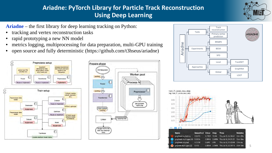# **Ariadne: PyTorch Library for Particle Track Reconstruction Using Deep Learning**



**Ariadne** – the first library for deep learning tracking on Python:

- tracking and vertex reconstruction tasks
- rapid prototyping a new NN model
- metrics logging, multiprocessing for data preparation, multi-GPU training
- open source and fully deterministic (https://github.com/t3hseus/ariadne)